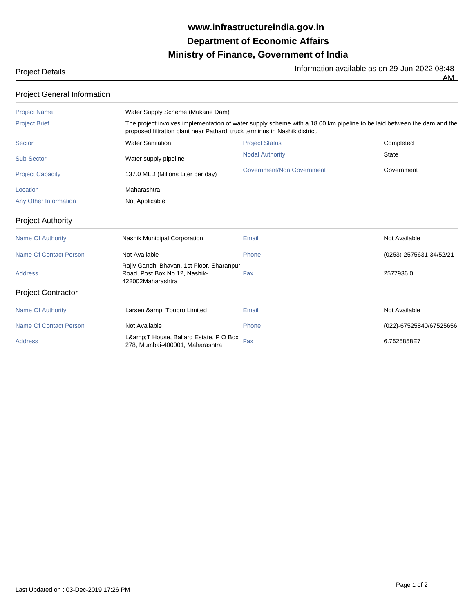## **Ministry of Finance, Government of India Department of Economic Affairs www.infrastructureindia.gov.in**

Project Details<br>AM AM

| <b>Project General Information</b> |                                                                                                                                                                                                      |                           |                         |  |  |  |
|------------------------------------|------------------------------------------------------------------------------------------------------------------------------------------------------------------------------------------------------|---------------------------|-------------------------|--|--|--|
| <b>Project Name</b>                | Water Supply Scheme (Mukane Dam)                                                                                                                                                                     |                           |                         |  |  |  |
| <b>Project Brief</b>               | The project involves implementation of water supply scheme with a 18.00 km pipeline to be laid between the dam and the<br>proposed filtration plant near Pathardi truck terminus in Nashik district. |                           |                         |  |  |  |
| <b>Sector</b>                      | <b>Water Sanitation</b>                                                                                                                                                                              | <b>Project Status</b>     | Completed               |  |  |  |
| Sub-Sector                         | Water supply pipeline                                                                                                                                                                                | <b>Nodal Authority</b>    | <b>State</b>            |  |  |  |
| <b>Project Capacity</b>            | 137.0 MLD (Millons Liter per day)                                                                                                                                                                    | Government/Non Government | Government              |  |  |  |
| Location                           | Maharashtra                                                                                                                                                                                          |                           |                         |  |  |  |
| Any Other Information              | Not Applicable                                                                                                                                                                                       |                           |                         |  |  |  |
| <b>Project Authority</b>           |                                                                                                                                                                                                      |                           |                         |  |  |  |
| <b>Name Of Authority</b>           | <b>Nashik Municipal Corporation</b>                                                                                                                                                                  | Email                     | Not Available           |  |  |  |
| <b>Name Of Contact Person</b>      | Not Available                                                                                                                                                                                        | Phone                     | (0253)-2575631-34/52/21 |  |  |  |
| <b>Address</b>                     | Rajiv Gandhi Bhavan, 1st Floor, Sharanpur<br>Road, Post Box No.12, Nashik-<br>422002Maharashtra                                                                                                      | Fax                       | 2577936.0               |  |  |  |
| <b>Project Contractor</b>          |                                                                                                                                                                                                      |                           |                         |  |  |  |
| <b>Name Of Authority</b>           | Larsen & Toubro Limited                                                                                                                                                                              | Email                     | Not Available           |  |  |  |
| <b>Name Of Contact Person</b>      | Not Available                                                                                                                                                                                        | Phone                     | (022)-67525840/67525656 |  |  |  |
| <b>Address</b>                     | L&T House, Ballard Estate, P O Box<br>278, Mumbai-400001, Maharashtra                                                                                                                                | Fax                       | 6.7525858E7             |  |  |  |